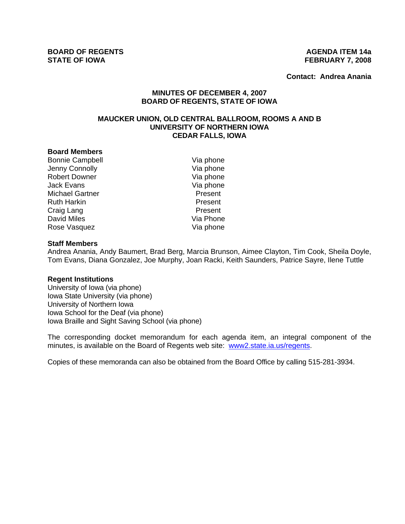**BOARD OF REGENTS AGENUS AGENDA ITEM 14a STATE OF IOWA FEBRUARY 7, 2008** 

**Contact: Andrea Anania**

# **MINUTES OF DECEMBER 4, 2007 BOARD OF REGENTS, STATE OF IOWA**

# **MAUCKER UNION, OLD CENTRAL BALLROOM, ROOMS A AND B UNIVERSITY OF NORTHERN IOWA CEDAR FALLS, IOWA**

#### **Board Members**

Bonnie Campbell Via phone Jenny Connolly **Via phone** Robert Downer Via phone Jack Evans<br>
Michael Gartner<br>
Michael Gartner Michael Gartner Ruth Harkin **National Communist Present** Craig Lang **Present** David Miles **Via Phone** Rose Vasquez Via phone

#### **Staff Members**

Andrea Anania, Andy Baumert, Brad Berg, Marcia Brunson, Aimee Clayton, Tim Cook, Sheila Doyle, Tom Evans, Diana Gonzalez, Joe Murphy, Joan Racki, Keith Saunders, Patrice Sayre, Ilene Tuttle

#### **Regent Institutions**

University of Iowa (via phone) Iowa State University (via phone) University of Northern Iowa Iowa School for the Deaf (via phone) Iowa Braille and Sight Saving School (via phone)

The corresponding docket memorandum for each agenda item, an integral component of the minutes, is available on the Board of Regents web site: www2.state.ia.us/regents.

Copies of these memoranda can also be obtained from the Board Office by calling 515-281-3934.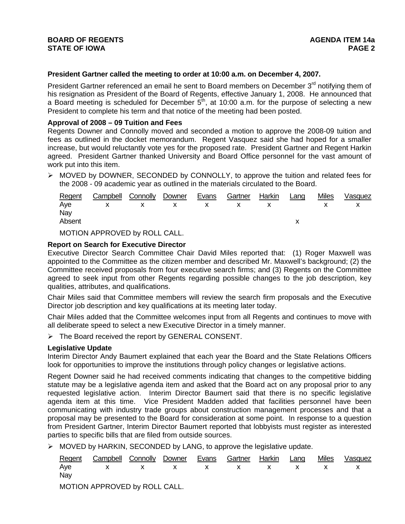# **BOARD OF REGENTS AGENUS AGENDA ITEM 14a STATE OF IOWA** PAGE 2

## **President Gartner called the meeting to order at 10:00 a.m. on December 4, 2007.**

President Gartner referenced an email he sent to Board members on December 3<sup>rd</sup> notifying them of his resignation as President of the Board of Regents, effective January 1, 2008. He announced that a Board meeting is scheduled for December  $5<sup>th</sup>$ , at 10:00 a.m. for the purpose of selecting a new President to complete his term and that notice of the meeting had been posted.

### **Approval of 2008 – 09 Tuition and Fees**

Regents Downer and Connolly moved and seconded a motion to approve the 2008-09 tuition and fees as outlined in the docket memorandum. Regent Vasquez said she had hoped for a smaller increase, but would reluctantly vote yes for the proposed rate. President Gartner and Regent Harkin agreed. President Gartner thanked University and Board Office personnel for the vast amount of work put into this item.

 $\triangleright$  MOVED by DOWNER, SECONDED by CONNOLLY, to approve the tuition and related fees for the 2008 - 09 academic year as outlined in the materials circulated to the Board.

|        | Regent Campbell Connolly Downer Evans Gartner Harkin Lang |  |  |  | Miles | Vasquez |
|--------|-----------------------------------------------------------|--|--|--|-------|---------|
|        | Aye x x x x x x x x x                                     |  |  |  |       |         |
| Nav    |                                                           |  |  |  |       |         |
| Absent |                                                           |  |  |  |       |         |
|        |                                                           |  |  |  |       |         |

MOTION APPROVED by ROLL CALL.

### **Report on Search for Executive Director**

Executive Director Search Committee Chair David Miles reported that: (1) Roger Maxwell was appointed to the Committee as the citizen member and described Mr. Maxwell's background; (2) the Committee received proposals from four executive search firms; and (3) Regents on the Committee agreed to seek input from other Regents regarding possible changes to the job description, key qualities, attributes, and qualifications.

Chair Miles said that Committee members will review the search firm proposals and the Executive Director job description and key qualifications at its meeting later today.

Chair Miles added that the Committee welcomes input from all Regents and continues to move with all deliberate speed to select a new Executive Director in a timely manner.

¾ The Board received the report by GENERAL CONSENT.

#### **Legislative Update**

Interim Director Andy Baumert explained that each year the Board and the State Relations Officers look for opportunities to improve the institutions through policy changes or legislative actions.

Regent Downer said he had received comments indicating that changes to the competitive bidding statute may be a legislative agenda item and asked that the Board act on any proposal prior to any requested legislative action. Interim Director Baumert said that there is no specific legislative agenda item at this time. Vice President Madden added that facilities personnel have been communicating with industry trade groups about construction management processes and that a proposal may be presented to the Board for consideration at some point. In response to a question from President Gartner, Interim Director Baumert reported that lobbyists must register as interested parties to specific bills that are filed from outside sources.

 $\triangleright$  MOVED by HARKIN, SECONDED by LANG, to approve the legislative update.

|     | Regent Campbell Connolly Downer Evans Gartner Harkin Lang Miles Vasquez |  |  |  |  |
|-----|-------------------------------------------------------------------------|--|--|--|--|
|     | Aye x x x x x x x x x                                                   |  |  |  |  |
| Nay |                                                                         |  |  |  |  |
|     |                                                                         |  |  |  |  |

MOTION APPROVED by ROLL CALL.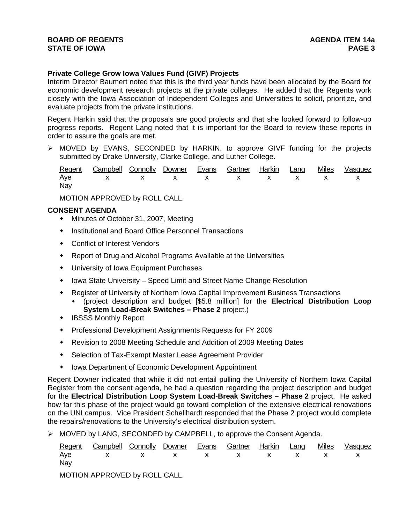# **BOARD OF REGENTS AGENUS AGENDA ITEM 14a STATE OF IOWA** PAGE 3

# **Private College Grow Iowa Values Fund (GIVF) Projects**

Interim Director Baumert noted that this is the third year funds have been allocated by the Board for economic development research projects at the private colleges. He added that the Regents work closely with the Iowa Association of Independent Colleges and Universities to solicit, prioritize, and evaluate projects from the private institutions.

Regent Harkin said that the proposals are good projects and that she looked forward to follow-up progress reports. Regent Lang noted that it is important for the Board to review these reports in order to assure the goals are met.

 $\triangleright$  MOVED by EVANS, SECONDED by HARKIN, to approve GIVF funding for the projects submitted by Drake University, Clarke College, and Luther College.

|     | Regent Campbell Connolly Downer Evans Gartner Harkin Lang Miles Vasquez |  |  |  |  |
|-----|-------------------------------------------------------------------------|--|--|--|--|
|     | Aye x x x x x x x x x                                                   |  |  |  |  |
| Nay |                                                                         |  |  |  |  |

MOTION APPROVED by ROLL CALL.

## **CONSENT AGENDA**

- Minutes of October 31, 2007, Meeting
- Institutional and Board Office Personnel Transactions
- Conflict of Interest Vendors
- Report of Drug and Alcohol Programs Available at the Universities
- University of Iowa Equipment Purchases
- Iowa State University Speed Limit and Street Name Change Resolution
- Register of University of Northern Iowa Capital Improvement Business Transactions
	- (project description and budget [\$5.8 million] for the **Electrical Distribution Loop System Load-Break Switches – Phase 2** project.)
- **IBSSS Monthly Report**
- Professional Development Assignments Requests for FY 2009
- Revision to 2008 Meeting Schedule and Addition of 2009 Meeting Dates
- Selection of Tax-Exempt Master Lease Agreement Provider
- Iowa Department of Economic Development Appointment

Regent Downer indicated that while it did not entail pulling the University of Northern Iowa Capital Register from the consent agenda, he had a question regarding the project description and budget for the **Electrical Distribution Loop System Load-Break Switches – Phase 2** project. He asked how far this phase of the project would go toward completion of the extensive electrical renovations on the UNI campus. Vice President Schellhardt responded that the Phase 2 project would complete the repairs/renovations to the University's electrical distribution system.

 $\triangleright$  MOVED by LANG, SECONDED by CAMPBELL, to approve the Consent Agenda.

|     | Regent Campbell Connolly Downer Evans Gartner Harkin Lang Miles Vasquez |  |  |  |  |
|-----|-------------------------------------------------------------------------|--|--|--|--|
|     | Aye x x x x x x x x x                                                   |  |  |  |  |
| Nay |                                                                         |  |  |  |  |

MOTION APPROVED by ROLL CALL.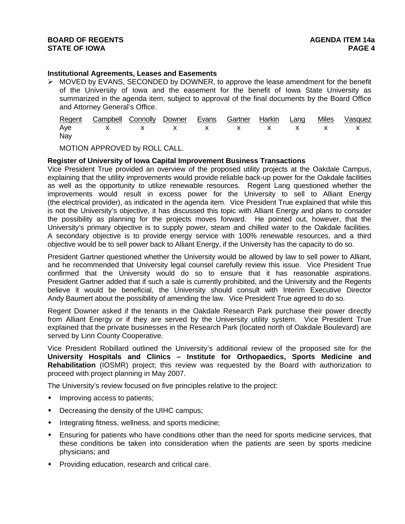# **Institutional Agreements, Leases and Easements**

 $\triangleright$  MOVED by EVANS, SECONDED by DOWNER, to approve the lease amendment for the benefit of the University of Iowa and the easement for the benefit of Iowa State University as summarized in the agenda item, subject to approval of the final documents by the Board Office and Attorney General's Office.

|     | Regent Campbell Connolly Downer Evans Gartner Harkin Lang Miles Vasquez |  |  |  |  |
|-----|-------------------------------------------------------------------------|--|--|--|--|
|     | Aye x x x x x x x x x                                                   |  |  |  |  |
| Nay |                                                                         |  |  |  |  |

MOTION APPROVED by ROLL CALL.

## **Register of University of Iowa Capital Improvement Business Transactions**

Vice President True provided an overview of the proposed utility projects at the Oakdale Campus, explaining that the utility improvements would provide reliable back-up power for the Oakdale facilities as well as the opportunity to utilize renewable resources. Regent Lang questioned whether the improvements would result in excess power for the University to sell to Alliant Energy (the electrical provider), as indicated in the agenda item. Vice President True explained that while this is not the University's objective, it has discussed this topic with Alliant Energy and plans to consider the possibility as planning for the projects moves forward. He pointed out, however, that the University's primary objective is to supply power, steam and chilled water to the Oakdale facilities. A secondary objective is to provide energy service with 100% renewable resources, and a third objective would be to sell power back to Alliant Energy, if the University has the capacity to do so.

President Gartner questioned whether the University would be allowed by law to sell power to Alliant, and he recommended that University legal counsel carefully review this issue. Vice President True confirmed that the University would do so to ensure that it has reasonable aspirations. President Gartner added that if such a sale is currently prohibited, and the University and the Regents believe it would be beneficial, the University should consult with Interim Executive Director Andy Baumert about the possibility of amending the law. Vice President True agreed to do so.

Regent Downer asked if the tenants in the Oakdale Research Park purchase their power directly from Alliant Energy or if they are served by the University utility system. Vice President True explained that the private businesses in the Research Park (located north of Oakdale Boulevard) are served by Linn County Cooperative.

Vice President Robillard outlined the University's additional review of the proposed site for the **University Hospitals and Clinics – Institute for Orthopaedics, Sports Medicine and Rehabilitation** (IOSMR) project; this review was requested by the Board with authorization to proceed with project planning in May 2007.

The University's review focused on five principles relative to the project:

- Improving access to patients;
- Decreasing the density of the UIHC campus;
- $\bullet$  Integrating fitness, wellness, and sports medicine;
- Ensuring for patients who have conditions other than the need for sports medicine services, that these conditions be taken into consideration when the patients are seen by sports medicine physicians; and
- Providing education, research and critical care.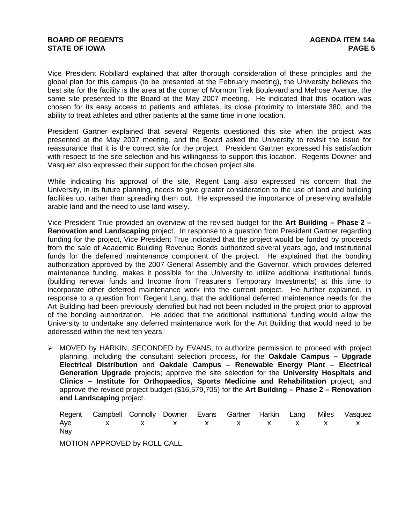# **BOARD OF REGENTS AGENUS AGENDA ITEM 14a STATE OF IOWA** PAGE 5

Vice President Robillard explained that after thorough consideration of these principles and the global plan for this campus (to be presented at the February meeting), the University believes the best site for the facility is the area at the corner of Mormon Trek Boulevard and Melrose Avenue, the same site presented to the Board at the May 2007 meeting. He indicated that this location was chosen for its easy access to patients and athletes, its close proximity to Interstate 380, and the ability to treat athletes and other patients at the same time in one location.

President Gartner explained that several Regents questioned this site when the project was presented at the May 2007 meeting, and the Board asked the University to revisit the issue for reassurance that it is the correct site for the project. President Gartner expressed his satisfaction with respect to the site selection and his willingness to support this location. Regents Downer and Vasquez also expressed their support for the chosen project site.

While indicating his approval of the site, Regent Lang also expressed his concern that the University, in its future planning, needs to give greater consideration to the use of land and building facilities up, rather than spreading them out. He expressed the importance of preserving available arable land and the need to use land wisely.

Vice President True provided an overview of the revised budget for the **Art Building – Phase 2 – Renovation and Landscaping** project. In response to a question from President Gartner regarding funding for the project, Vice President True indicated that the project would be funded by proceeds from the sale of Academic Building Revenue Bonds authorized several years ago, and institutional funds for the deferred maintenance component of the project. He explained that the bonding authorization approved by the 2007 General Assembly and the Governor, which provides deferred maintenance funding, makes it possible for the University to utilize additional institutional funds (building renewal funds and Income from Treasurer's Temporary Investments) at this time to incorporate other deferred maintenance work into the current project. He further explained, in response to a question from Regent Lang, that the additional deferred maintenance needs for the Art Building had been previously identified but had not been included in the project prior to approval of the bonding authorization. He added that the additional institutional funding would allow the University to undertake any deferred maintenance work for the Art Building that would need to be addressed within the next ten years.

¾ MOVED by HARKIN, SECONDED by EVANS, to authorize permission to proceed with project planning, including the consultant selection process, for the **Oakdale Campus – Upgrade Electrical Distribution** and **Oakdale Campus – Renewable Energy Plant – Electrical Generation Upgrade** projects; approve the site selection for the **University Hospitals and Clinics – Institute for Orthopaedics, Sports Medicine and Rehabilitation** project; and approve the revised project budget (\$16,579,705) for the **Art Building – Phase 2 – Renovation and Landscaping** project.

Regent Campbell Connolly Downer Evans Gartner Harkin Lang Miles Vasquez Aye x x x x x x x x x Nay

MOTION APPROVED by ROLL CALL.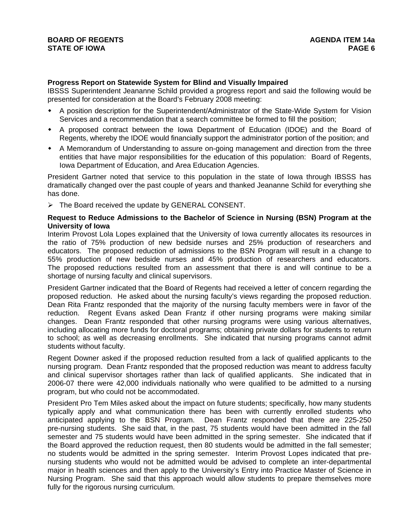### **Progress Report on Statewide System for Blind and Visually Impaired**

IBSSS Superintendent Jeananne Schild provided a progress report and said the following would be presented for consideration at the Board's February 2008 meeting:

- A position description for the Superintendent/Administrator of the State-Wide System for Vision Services and a recommendation that a search committee be formed to fill the position;
- A proposed contract between the Iowa Department of Education (IDOE) and the Board of Regents, whereby the IDOE would financially support the administrator portion of the position; and
- A Memorandum of Understanding to assure on-going management and direction from the three entities that have major responsibilities for the education of this population: Board of Regents, Iowa Department of Education, and Area Education Agencies.

President Gartner noted that service to this population in the state of Iowa through IBSSS has dramatically changed over the past couple of years and thanked Jeananne Schild for everything she has done.

 $\triangleright$  The Board received the update by GENERAL CONSENT.

### **Request to Reduce Admissions to the Bachelor of Science in Nursing (BSN) Program at the University of Iowa**

Interim Provost Lola Lopes explained that the University of Iowa currently allocates its resources in the ratio of 75% production of new bedside nurses and 25% production of researchers and educators. The proposed reduction of admissions to the BSN Program will result in a change to 55% production of new bedside nurses and 45% production of researchers and educators. The proposed reductions resulted from an assessment that there is and will continue to be a shortage of nursing faculty and clinical supervisors.

President Gartner indicated that the Board of Regents had received a letter of concern regarding the proposed reduction. He asked about the nursing faculty's views regarding the proposed reduction. Dean Rita Frantz responded that the majority of the nursing faculty members were in favor of the reduction. Regent Evans asked Dean Frantz if other nursing programs were making similar changes. Dean Frantz responded that other nursing programs were using various alternatives, including allocating more funds for doctoral programs; obtaining private dollars for students to return to school; as well as decreasing enrollments. She indicated that nursing programs cannot admit students without faculty.

Regent Downer asked if the proposed reduction resulted from a lack of qualified applicants to the nursing program. Dean Frantz responded that the proposed reduction was meant to address faculty and clinical supervisor shortages rather than lack of qualified applicants. She indicated that in 2006-07 there were 42,000 individuals nationally who were qualified to be admitted to a nursing program, but who could not be accommodated.

President Pro Tem Miles asked about the impact on future students; specifically, how many students typically apply and what communication there has been with currently enrolled students who anticipated applying to the BSN Program. Dean Frantz responded that there are 225-250 pre-nursing students. She said that, in the past, 75 students would have been admitted in the fall semester and 75 students would have been admitted in the spring semester. She indicated that if the Board approved the reduction request, then 80 students would be admitted in the fall semester; no students would be admitted in the spring semester. Interim Provost Lopes indicated that prenursing students who would not be admitted would be advised to complete an inter-departmental major in health sciences and then apply to the University's Entry into Practice Master of Science in Nursing Program. She said that this approach would allow students to prepare themselves more fully for the rigorous nursing curriculum.